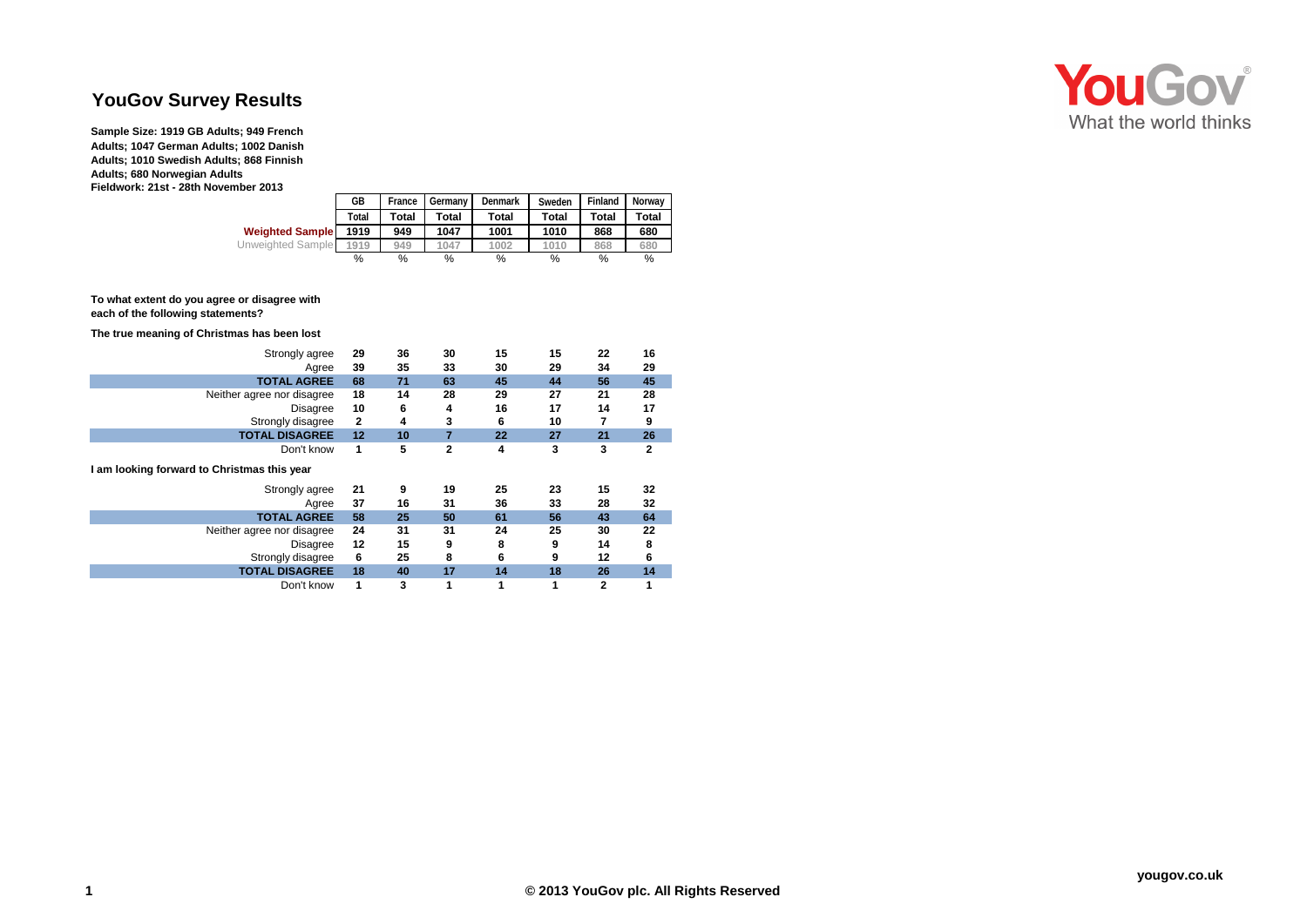## **YouGov Survey Results**

**Sample Size: 1919 GB Adults; 949 French Adults; 1047 German Adults; 1002 Danish Adults; 1010 Swedish Adults; 868 Finnish Adults; 680 Norwegian Adults Fieldwork: 21st - 28th November 2013**

|                        | GB    | France | Denmark<br>Germany |                              | Sweden | Finland | Norway<br>Total |  |
|------------------------|-------|--------|--------------------|------------------------------|--------|---------|-----------------|--|
|                        | Total | Total  | Total              | <b>Total</b><br><b>Total</b> |        | Total   |                 |  |
| <b>Weighted Sample</b> | 1919  | 949    | 1047               | 1001                         | 1010   | 868     | 680             |  |
| Unweighted Sample      | 1919  | 949    | 1047               | 1002                         | 1010   | 868     | 680             |  |
|                        | %     | %      | %                  | %                            | %      | %       | %               |  |

## **To what extent do you agree or disagree with each of the following statements?**

## **The true meaning of Christmas has been lost**

| Strongly agree<br>Agree                     | 29<br>39 | 36<br>35 | 30<br>33     | 15<br>30 | 15<br>29 | 22<br>34 | 16<br>29     |
|---------------------------------------------|----------|----------|--------------|----------|----------|----------|--------------|
| <b>TOTAL AGREE</b>                          | 68       | 71       | 63           | 45       | 44       | 56       | 45           |
| Neither agree nor disagree                  |          | 14       | 28           | 29       | 27       | 21       | 28           |
| <b>Disagree</b>                             |          | 6        | 4            | 16       | 17       | 14       | 17           |
| Strongly disagree                           |          | 4        | 3            | 6        | 10       | 7        | 9            |
| <b>TOTAL DISAGREE</b>                       | 12       | 10       | 7            | 22       | 27       | 21       | 26           |
| Don't know                                  | 1        | 5        | $\mathbf{2}$ | 4        | 3        | 3        | $\mathbf{2}$ |
| I am looking forward to Christmas this year |          |          |              |          |          |          |              |
|                                             |          |          |              |          |          |          |              |
| Strongly agree                              | 21       | 9        | 19           | 25       | 23       | 15       | 32           |
| Agree                                       | 37       | 16       | 31           | 36       | 33       | 28       | 32           |
| <b>TOTAL AGREE</b>                          | 58       | 25       | 50           | 61       | 56       | 43       | 64           |
| Neither agree nor disagree                  | 24       | 31       | 31           | 24       | 25       | 30       | 22           |
| <b>Disagree</b>                             | 12       | 15       | 9            | 8        | 9        | 14       | 8            |
| Strongly disagree                           | 6        | 25       | 8            | 6        | 9        | 12       | 6            |
| <b>TOTAL DISAGREE</b>                       | 18       | 40       | 17           | 14       | 18       | 26       | 14           |